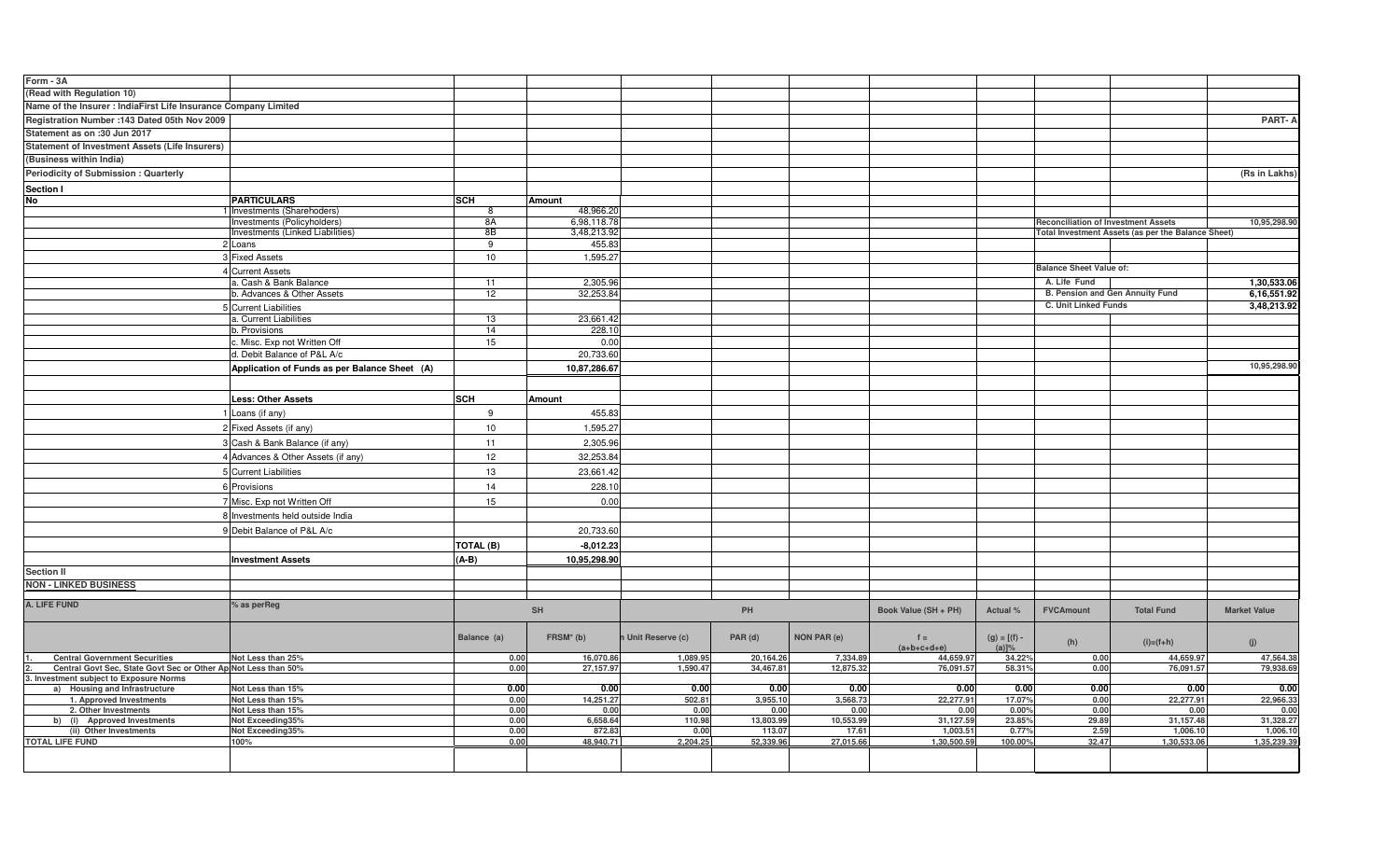| Form - 3A                                                       |                                                          |             |                          |                    |           |             |                        |                            |                                            |                                                    |                         |
|-----------------------------------------------------------------|----------------------------------------------------------|-------------|--------------------------|--------------------|-----------|-------------|------------------------|----------------------------|--------------------------------------------|----------------------------------------------------|-------------------------|
|                                                                 |                                                          |             |                          |                    |           |             |                        |                            |                                            |                                                    |                         |
| (Read with Regulation 10)                                       |                                                          |             |                          |                    |           |             |                        |                            |                                            |                                                    |                         |
| Name of the Insurer : IndiaFirst Life Insurance Company Limited |                                                          |             |                          |                    |           |             |                        |                            |                                            |                                                    |                         |
| Registration Number : 143 Dated 05th Nov 2009                   |                                                          |             |                          |                    |           |             |                        |                            |                                            |                                                    | PART-A                  |
| Statement as on :30 Jun 2017                                    |                                                          |             |                          |                    |           |             |                        |                            |                                            |                                                    |                         |
| <b>Statement of Investment Assets (Life Insurers)</b>           |                                                          |             |                          |                    |           |             |                        |                            |                                            |                                                    |                         |
| (Business within India)                                         |                                                          |             |                          |                    |           |             |                        |                            |                                            |                                                    |                         |
| <b>Periodicity of Submission: Quarterly</b>                     |                                                          |             |                          |                    |           |             |                        |                            |                                            |                                                    | (Rs in Lakhs)           |
|                                                                 |                                                          |             |                          |                    |           |             |                        |                            |                                            |                                                    |                         |
| Section I<br>No                                                 |                                                          |             |                          |                    |           |             |                        |                            |                                            |                                                    |                         |
|                                                                 | <b>PARTICULARS</b>                                       | <b>SCH</b>  | Amount                   |                    |           |             |                        |                            |                                            |                                                    |                         |
|                                                                 | Investments (Sharehoders)<br>Investments (Policyholders) | 8A          | 48,966.20<br>6,98,118.78 |                    |           |             |                        |                            |                                            |                                                    |                         |
|                                                                 | Investments (Linked Liabilities)                         | 8B          | 3,48,213.92              |                    |           |             |                        |                            | <b>Reconciliation of Investment Assets</b> | Total Investment Assets (as per the Balance Sheet) | 10,95,298.90            |
|                                                                 | 2 Loans                                                  | 9           | 455.83                   |                    |           |             |                        |                            |                                            |                                                    |                         |
|                                                                 | 3 Fixed Assets                                           | 10          | 1,595.27                 |                    |           |             |                        |                            |                                            |                                                    |                         |
|                                                                 |                                                          |             |                          |                    |           |             |                        |                            | <b>Balance Sheet Value of:</b>             |                                                    |                         |
|                                                                 | <b>Current Assets</b>                                    |             |                          |                    |           |             |                        |                            |                                            |                                                    |                         |
|                                                                 | a. Cash & Bank Balance                                   | 11          | 2,305.96                 |                    |           |             |                        |                            | A. Life Fund                               |                                                    | 1,30,533.06             |
|                                                                 | b. Advances & Other Assets                               | 12          | 32,253.84                |                    |           |             |                        |                            | B. Pension and Gen Annuity Fund            |                                                    | 6,16,551.92             |
|                                                                 | <b>Current Liabilities</b>                               |             |                          |                    |           |             |                        |                            | C. Unit Linked Funds                       |                                                    | 3,48,213.92             |
|                                                                 | a. Current Liabilities                                   | 13          | 23,661.42                |                    |           |             |                        |                            |                                            |                                                    |                         |
|                                                                 | b. Provisions                                            | 14          | 228.10                   |                    |           |             |                        |                            |                                            |                                                    |                         |
|                                                                 | Misc. Exp not Written Off                                | 15          | 0.00                     |                    |           |             |                        |                            |                                            |                                                    |                         |
|                                                                 | d. Debit Balance of P&L A/c                              |             | 20,733.60                |                    |           |             |                        |                            |                                            |                                                    |                         |
|                                                                 | Application of Funds as per Balance Sheet (A)            |             | 10,87,286.67             |                    |           |             |                        |                            |                                            |                                                    | 10,95,298.90            |
|                                                                 |                                                          |             |                          |                    |           |             |                        |                            |                                            |                                                    |                         |
|                                                                 | Less: Other Assets                                       | <b>SCH</b>  | Amount                   |                    |           |             |                        |                            |                                            |                                                    |                         |
|                                                                 |                                                          |             |                          |                    |           |             |                        |                            |                                            |                                                    |                         |
|                                                                 | Loans (if any)                                           | 9           | 455.83                   |                    |           |             |                        |                            |                                            |                                                    |                         |
|                                                                 | Fixed Assets (if any)                                    | 10          | 1,595.27                 |                    |           |             |                        |                            |                                            |                                                    |                         |
|                                                                 | Cash & Bank Balance (if any)                             | 11          | 2,305.96                 |                    |           |             |                        |                            |                                            |                                                    |                         |
|                                                                 | Advances & Other Assets (if any)                         | 12          | 32,253.84                |                    |           |             |                        |                            |                                            |                                                    |                         |
|                                                                 |                                                          |             |                          |                    |           |             |                        |                            |                                            |                                                    |                         |
|                                                                 | 5 Current Liabilities                                    | 13          | 23,661.42                |                    |           |             |                        |                            |                                            |                                                    |                         |
|                                                                 | 6 Provisions                                             | 14          | 228.10                   |                    |           |             |                        |                            |                                            |                                                    |                         |
|                                                                 | Misc. Exp not Written Off                                | 15          | 0.00                     |                    |           |             |                        |                            |                                            |                                                    |                         |
|                                                                 | Investments held outside India                           |             |                          |                    |           |             |                        |                            |                                            |                                                    |                         |
|                                                                 |                                                          |             |                          |                    |           |             |                        |                            |                                            |                                                    |                         |
|                                                                 | Debit Balance of P&L A/c                                 |             | 20,733.60                |                    |           |             |                        |                            |                                            |                                                    |                         |
|                                                                 |                                                          | TOTAL (B)   | $-8,012.23$              |                    |           |             |                        |                            |                                            |                                                    |                         |
|                                                                 | <b>Investment Assets</b>                                 | $(A-B)$     | 10,95,298.90             |                    |           |             |                        |                            |                                            |                                                    |                         |
| <b>Section II</b>                                               |                                                          |             |                          |                    |           |             |                        |                            |                                            |                                                    |                         |
| <b>NON - LINKED BUSINESS</b>                                    |                                                          |             |                          |                    |           |             |                        |                            |                                            |                                                    |                         |
|                                                                 |                                                          |             |                          |                    |           |             |                        |                            |                                            |                                                    |                         |
| A. LIFE FUND                                                    | % as perReg                                              |             | <b>SH</b>                |                    | PH        |             | Book Value (SH + PH)   | Actual %                   | <b>FVCAmount</b>                           | <b>Total Fund</b>                                  | <b>Market Value</b>     |
|                                                                 |                                                          |             |                          |                    |           |             |                        |                            |                                            |                                                    |                         |
|                                                                 |                                                          | Balance (a) | $FRSM*$ (b)              | n Unit Reserve (c) |           | NON PAR (e) |                        |                            |                                            |                                                    |                         |
|                                                                 |                                                          |             |                          |                    | PAR (d)   |             | $f =$<br>$(a+b+c+d+e)$ | $(g) = [(f) -$<br>$(a)]\%$ | (h)                                        | $(i)=(f+h)$                                        | (i)                     |
| <b>Central Government Securities</b>                            | Not Less than 25%                                        | 0.00        | 16,070.86                | 1,089.95           | 20,164.26 | 7,334.89    | 44.659.97              | 34.22%                     | 0.00                                       | 44,659.97                                          | 47,564.38               |
| Central Govt Sec, State Govt Sec or Other Ap Not Less than 50%  |                                                          | 0.00        | 27,157.97                | 1,590.47           | 34,467.81 | 12,875.32   | 76,091.57              | 58.319                     | 0.00                                       | 76,091.57                                          | 79,938.69               |
| 3. Investment subject to Exposure Norms                         |                                                          |             |                          |                    |           |             |                        |                            |                                            |                                                    |                         |
| a) Housing and Infrastructure                                   | Not Less than 15%                                        | 0.00        | 0.00                     | 0.00               | 0.00      | 0.00        | 0.00                   | 0.00                       | 0.00                                       | 0.00                                               | 0.00                    |
| 1. Approved Investments                                         | Not Less than 15%                                        | 0.00        | 14,251.27                | 502.81             | 3,955.10  | 3,568.73    | 22,277.91              | 17.07%                     | 0.00                                       | 22,277.91                                          | 22,966.33               |
| 2. Other Investments                                            | Not Less than 15%                                        | 0.00        | 0.00                     | 0.00               | 0.00      | 0.00        | 0.00                   | 0.00%                      | 0.00                                       | 0.00                                               | 0.00                    |
| b) (i) Approved Investments                                     | Not Exceeding35%                                         | 0.00        | 6,658.64                 | 110.98             | 13,803.99 | 10,553.99   | 31,127.59              | 23.85%                     | 29.89                                      | 31,157.48                                          | 31,328.27               |
| (ii) Other Investments<br><b>TOTAL LIFE FUND</b>                | Not Exceeding35%                                         | 0.00        | 872.83<br>48.940.71      | 0.00               | 113.07    | 17.61       | 1,003.51               | 0.77%                      | 2.59<br>32.47                              | 1,006.10<br>1,30,533.06                            | 1,006.10<br>1,35,239.39 |
|                                                                 | 100%                                                     | 0.00        |                          | 2,204.25           | 52.339.96 | 27,015.66   | 1.30.500.59            | 100.00%                    |                                            |                                                    |                         |
|                                                                 |                                                          |             |                          |                    |           |             |                        |                            |                                            |                                                    |                         |
|                                                                 |                                                          |             |                          |                    |           |             |                        |                            |                                            |                                                    |                         |